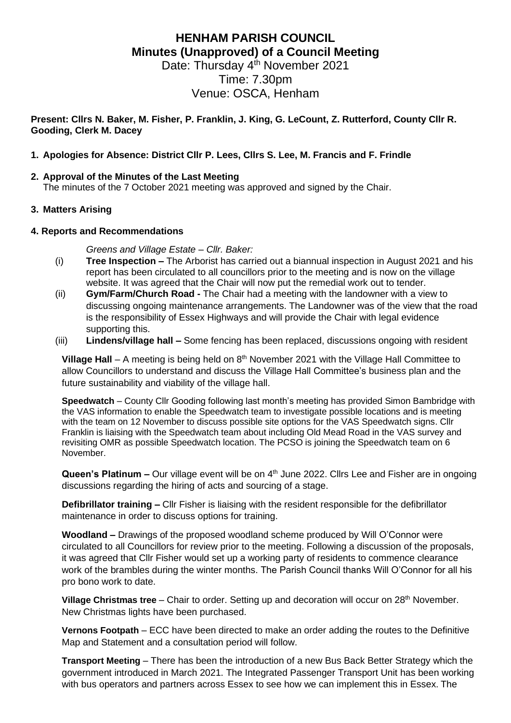# **HENHAM PARISH COUNCIL Minutes (Unapproved) of a Council Meeting**

Date: Thursday 4<sup>th</sup> November 2021 Time: 7.30pm Venue: OSCA, Henham

**Present: Cllrs N. Baker, M. Fisher, P. Franklin, J. King, G. LeCount, Z. Rutterford, County Cllr R. Gooding, Clerk M. Dacey**

## **1. Apologies for Absence: District Cllr P. Lees, Cllrs S. Lee, M. Francis and F. Frindle**

#### **2. Approval of the Minutes of the Last Meeting**

The minutes of the 7 October 2021 meeting was approved and signed by the Chair.

## **3. Matters Arising**

#### **4. Reports and Recommendations**

*Greens and Village Estate – Cllr. Baker:*

- (i) **Tree Inspection –** The Arborist has carried out a biannual inspection in August 2021 and his report has been circulated to all councillors prior to the meeting and is now on the village website. It was agreed that the Chair will now put the remedial work out to tender.
- (ii) **Gym/Farm/Church Road -** The Chair had a meeting with the landowner with a view to discussing ongoing maintenance arrangements. The Landowner was of the view that the road is the responsibility of Essex Highways and will provide the Chair with legal evidence supporting this.
- (iii) **Lindens/village hall –** Some fencing has been replaced, discussions ongoing with resident

**Village Hall** – A meeting is being held on 8<sup>th</sup> November 2021 with the Village Hall Committee to allow Councillors to understand and discuss the Village Hall Committee's business plan and the future sustainability and viability of the village hall.

**Speedwatch** – County Cllr Gooding following last month's meeting has provided Simon Bambridge with the VAS information to enable the Speedwatch team to investigate possible locations and is meeting with the team on 12 November to discuss possible site options for the VAS Speedwatch signs. Cllr Franklin is liaising with the Speedwatch team about including Old Mead Road in the VAS survey and revisiting OMR as possible Speedwatch location. The PCSO is joining the Speedwatch team on 6 November.

Queen's Platinum – Our village event will be on 4<sup>th</sup> June 2022. Cllrs Lee and Fisher are in ongoing discussions regarding the hiring of acts and sourcing of a stage.

**Defibrillator training –** Cllr Fisher is liaising with the resident responsible for the defibrillator maintenance in order to discuss options for training.

**Woodland –** Drawings of the proposed woodland scheme produced by Will O'Connor were circulated to all Councillors for review prior to the meeting. Following a discussion of the proposals, it was agreed that Cllr Fisher would set up a working party of residents to commence clearance work of the brambles during the winter months. The Parish Council thanks Will O'Connor for all his pro bono work to date.

**Village Christmas tree** – Chair to order. Setting up and decoration will occur on 28<sup>th</sup> November. New Christmas lights have been purchased.

**Vernons Footpath** – ECC have been directed to make an order adding the routes to the Definitive Map and Statement and a consultation period will follow.

**Transport Meeting** – There has been the introduction of a new Bus Back Better Strategy which the government introduced in March 2021. The Integrated Passenger Transport Unit has been working with bus operators and partners across Essex to see how we can implement this in Essex. The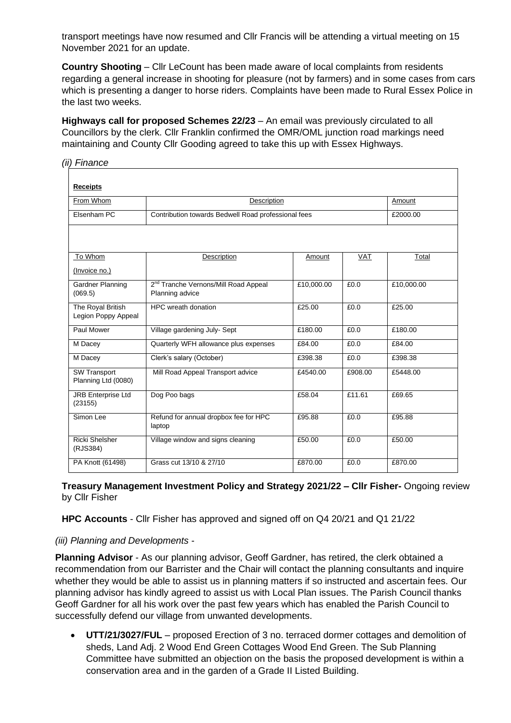transport meetings have now resumed and Cllr Francis will be attending a virtual meeting on 15 November 2021 for an update.

**Country Shooting** – Cllr LeCount has been made aware of local complaints from residents regarding a general increase in shooting for pleasure (not by farmers) and in some cases from cars which is presenting a danger to horse riders. Complaints have been made to Rural Essex Police in the last two weeks.

**Highways call for proposed Schemes 22/23** – An email was previously circulated to all Councillors by the clerk. Cllr Franklin confirmed the OMR/OML junction road markings need maintaining and County Cllr Gooding agreed to take this up with Essex Highways.

| <b>Receipts</b>                            |                                                                     |            |            |            |
|--------------------------------------------|---------------------------------------------------------------------|------------|------------|------------|
| From Whom                                  | Description                                                         |            |            | Amount     |
| Elsenham PC                                | Contribution towards Bedwell Road professional fees                 |            |            | £2000.00   |
|                                            |                                                                     |            |            |            |
| To Whom                                    | Description                                                         | Amount     | <b>VAT</b> | Total      |
| (Invoice no.)                              |                                                                     |            |            |            |
| Gardner Planning<br>(069.5)                | 2 <sup>nd</sup> Tranche Vernons/Mill Road Appeal<br>Planning advice | £10,000.00 | £0.0       | £10,000.00 |
| The Royal British<br>Legion Poppy Appeal   | HPC wreath donation                                                 | £25.00     | £0.0       | £25.00     |
| Paul Mower                                 | Village gardening July- Sept                                        | £180.00    | £0.0       | £180.00    |
| M Dacey                                    | Quarterly WFH allowance plus expenses                               | £84.00     | £0.0       | £84.00     |
| M Dacey                                    | Clerk's salary (October)                                            | £398.38    | £0.0       | £398.38    |
| <b>SW Transport</b><br>Planning Ltd (0080) | Mill Road Appeal Transport advice                                   | £4540.00   | £908.00    | £5448.00   |
| <b>JRB Enterprise Ltd</b><br>(23155)       | Dog Poo bags                                                        | £58.04     | £11.61     | £69.65     |
| Simon Lee                                  | Refund for annual dropbox fee for HPC<br>laptop                     | £95.88     | £0.0       | £95.88     |
| <b>Ricki Shelsher</b><br>(RJS384)          | Village window and signs cleaning                                   | £50.00     | £0.0       | £50.00     |
| PA Knott (61498)                           | Grass cut 13/10 & 27/10                                             | £870.00    | £0.0       | £870.00    |

**Treasury Management Investment Policy and Strategy 2021/22 – Cllr Fisher-** Ongoing review by Cllr Fisher

**HPC Accounts** - Cllr Fisher has approved and signed off on Q4 20/21 and Q1 21/22

# *(iii) Planning and Developments -*

*(ii) Finance*

**Planning Advisor** - As our planning advisor, Geoff Gardner, has retired, the clerk obtained a recommendation from our Barrister and the Chair will contact the planning consultants and inquire whether they would be able to assist us in planning matters if so instructed and ascertain fees. Our planning advisor has kindly agreed to assist us with Local Plan issues. The Parish Council thanks Geoff Gardner for all his work over the past few years which has enabled the Parish Council to successfully defend our village from unwanted developments.

• **UTT/21/3027/FUL** – proposed Erection of 3 no. terraced dormer cottages and demolition of sheds, Land Adj. 2 Wood End Green Cottages Wood End Green. The Sub Planning Committee have submitted an objection on the basis the proposed development is within a conservation area and in the garden of a Grade II Listed Building.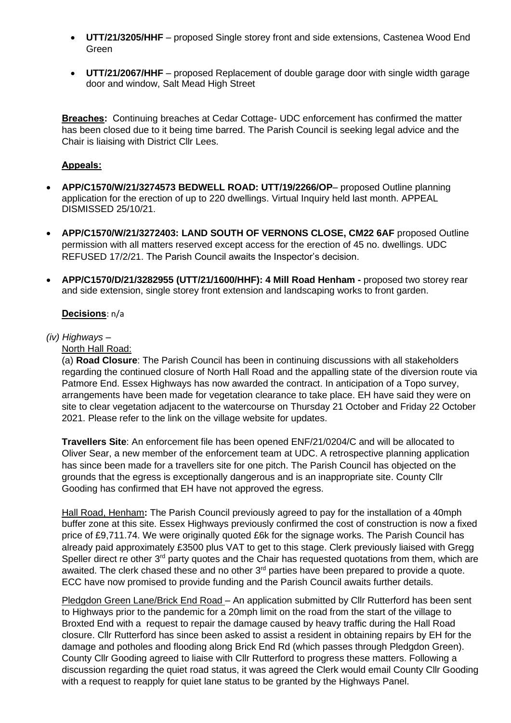- **UTT/21/3205/HHF** proposed Single storey front and side extensions, Castenea Wood End Green
- **UTT/21/2067/HHF** proposed Replacement of double garage door with single width garage door and window, Salt Mead High Street

**Breaches:** Continuing breaches at Cedar Cottage- UDC enforcement has confirmed the matter has been closed due to it being time barred. The Parish Council is seeking legal advice and the Chair is liaising with District Cllr Lees.

## **Appeals:**

- **APP/C1570/W/21/3274573 BEDWELL ROAD: UTT/19/2266/OP** proposed Outline planning application for the erection of up to 220 dwellings. Virtual Inquiry held last month. APPEAL DISMISSED 25/10/21.
- **APP/C1570/W/21/3272403: LAND SOUTH OF VERNONS CLOSE, CM22 6AF** proposed Outline permission with all matters reserved except access for the erection of 45 no. dwellings. UDC REFUSED 17/2/21. The Parish Council awaits the Inspector's decision.
- **APP/C1570/D/21/3282955 (UTT/21/1600/HHF): 4 Mill Road Henham -** proposed two storey rear and side extension, single storey front extension and landscaping works to front garden.

#### **Decisions**: n/a

#### *(iv) Highways –*

North Hall Road:

(a) **Road Closure**: The Parish Council has been in continuing discussions with all stakeholders regarding the continued closure of North Hall Road and the appalling state of the diversion route via Patmore End. Essex Highways has now awarded the contract. In anticipation of a Topo survey, arrangements have been made for vegetation clearance to take place. EH have said they were on site to clear vegetation adjacent to the watercourse on Thursday 21 October and Friday 22 October 2021. Please refer to the link on the village website for updates.

**Travellers Site**: An enforcement file has been opened ENF/21/0204/C and will be allocated to Oliver Sear, a new member of the enforcement team at UDC. A retrospective planning application has since been made for a travellers site for one pitch. The Parish Council has objected on the grounds that the egress is exceptionally dangerous and is an inappropriate site. County Cllr Gooding has confirmed that EH have not approved the egress.

Hall Road, Henham**:** The Parish Council previously agreed to pay for the installation of a 40mph buffer zone at this site. Essex Highways previously confirmed the cost of construction is now a fixed price of £9,711.74. We were originally quoted £6k for the signage works. The Parish Council has already paid approximately £3500 plus VAT to get to this stage. Clerk previously liaised with Gregg Speller direct re other 3<sup>rd</sup> party quotes and the Chair has requested quotations from them, which are awaited. The clerk chased these and no other 3<sup>rd</sup> parties have been prepared to provide a quote. ECC have now promised to provide funding and the Parish Council awaits further details.

Pledgdon Green Lane/Brick End Road – An application submitted by Cllr Rutterford has been sent to Highways prior to the pandemic for a 20mph limit on the road from the start of the village to Broxted End with a request to repair the damage caused by heavy traffic during the Hall Road closure. Cllr Rutterford has since been asked to assist a resident in obtaining repairs by EH for the damage and potholes and flooding along Brick End Rd (which passes through Pledgdon Green). County Cllr Gooding agreed to liaise with Cllr Rutterford to progress these matters. Following a discussion regarding the quiet road status, it was agreed the Clerk would email County Cllr Gooding with a request to reapply for quiet lane status to be granted by the Highways Panel.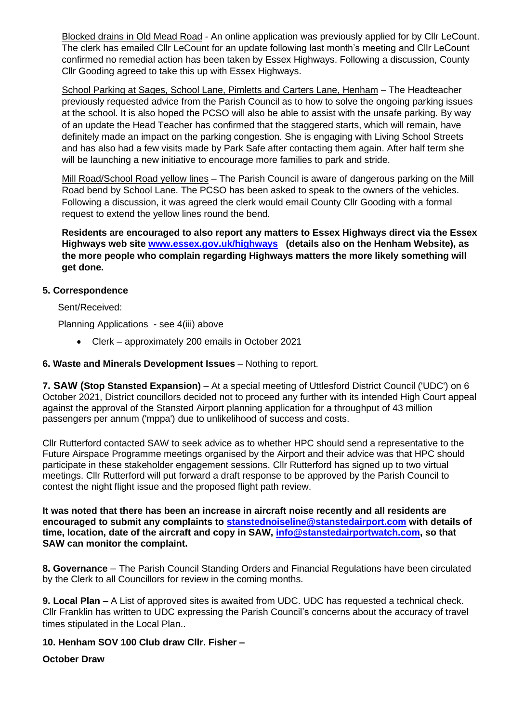Blocked drains in Old Mead Road - An online application was previously applied for by Cllr LeCount. The clerk has emailed Cllr LeCount for an update following last month's meeting and Cllr LeCount confirmed no remedial action has been taken by Essex Highways. Following a discussion, County Cllr Gooding agreed to take this up with Essex Highways.

School Parking at Sages, School Lane, Pimletts and Carters Lane, Henham – The Headteacher previously requested advice from the Parish Council as to how to solve the ongoing parking issues at the school. It is also hoped the PCSO will also be able to assist with the unsafe parking. By way of an update the Head Teacher has confirmed that the staggered starts, which will remain, have definitely made an impact on the parking congestion. She is engaging with Living School Streets and has also had a few visits made by Park Safe after contacting them again. After half term she will be launching a new initiative to encourage more families to park and stride.

Mill Road/School Road yellow lines - The Parish Council is aware of dangerous parking on the Mill Road bend by School Lane. The PCSO has been asked to speak to the owners of the vehicles. Following a discussion, it was agreed the clerk would email County Cllr Gooding with a formal request to extend the yellow lines round the bend.

**Residents are encouraged to also report any matters to Essex Highways direct via the Essex Highways web site [www.essex.gov.uk/highways](http://www.essex.gov.uk/highways) (details also on the Henham Website), as the more people who complain regarding Highways matters the more likely something will get done.**

## **5. Correspondence**

Sent/Received:

Planning Applications - see 4(iii) above

• Clerk – approximately 200 emails in October 2021

## **6. Waste and Minerals Development Issues** – Nothing to report.

**7. SAW (Stop Stansted Expansion)** – At a special meeting of Uttlesford District Council ('UDC') on 6 October 2021, District councillors decided not to proceed any further with its intended High Court appeal against the approval of the Stansted Airport planning application for a throughput of 43 million passengers per annum ('mppa') due to unlikelihood of success and costs.

Cllr Rutterford contacted SAW to seek advice as to whether HPC should send a representative to the Future Airspace Programme meetings organised by the Airport and their advice was that HPC should participate in these stakeholder engagement sessions. Cllr Rutterford has signed up to two virtual meetings. Cllr Rutterford will put forward a draft response to be approved by the Parish Council to contest the night flight issue and the proposed flight path review.

**It was noted that there has been an increase in aircraft noise recently and all residents are encouraged to submit any complaints to [stanstednoiseline@stanstedairport.com](mailto:stanstednoiseline@stanstedairport.com) with details of time, location, date of the aircraft and copy in SAW, [info@stanstedairportwatch.com,](mailto:info@stanstedairportwatch.com) so that SAW can monitor the complaint.**

**8. Governance** – The Parish Council Standing Orders and Financial Regulations have been circulated by the Clerk to all Councillors for review in the coming months.

**9. Local Plan –** A List of approved sites is awaited from UDC. UDC has requested a technical check. Cllr Franklin has written to UDC expressing the Parish Council's concerns about the accuracy of travel times stipulated in the Local Plan..

# **10. Henham SOV 100 Club draw Cllr. Fisher –**

# **October Draw**